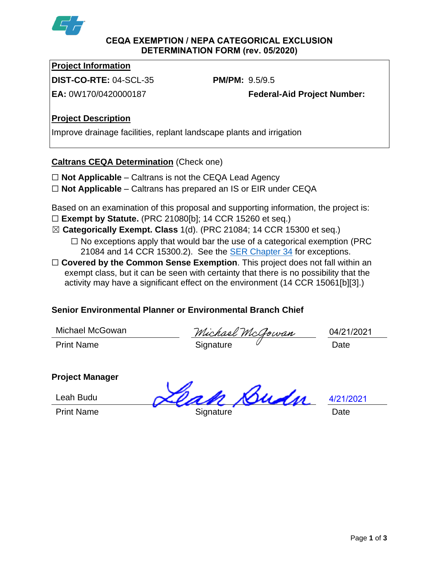

#### **CEQA EXEMPTION / NEPA CATEGORICAL EXCLUSION DETERMINATION FORM (rev. 05/2020)**

### **Project Information**

**DIST-CO-RTE:** 04-SCL-35 **PM/PM:** 9.5/9.5

**EA:** 0W170/0420000187 **Federal-Aid Project Number:**

## **Project Description**

Improve drainage facilities, replant landscape plants and irrigation

## **Caltrans CEQA Determination** (Check one)

- ☐ **Not Applicable** Caltrans is not the CEQA Lead Agency
- ☐ **Not Applicable** Caltrans has prepared an IS or EIR under CEQA

Based on an examination of this proposal and supporting information, the project is:

- ☐ **Exempt by Statute.** (PRC 21080[b]; 14 CCR 15260 et seq.)
- ☒ **Categorically Exempt. Class** 1(d). (PRC 21084; 14 CCR 15300 et seq.)
	- $\Box$  No exceptions apply that would bar the use of a categorical exemption (PRC) 21084 and 14 CCR 15300.2). See the [SER Chapter 34](https://dot.ca.gov/programs/environmental-analysis/standard-environmental-reference-ser/volume-1-guidance-for-compliance/ch-34-exemptions-to-ceqa#except) for exceptions.
- □ **Covered by the Common Sense Exemption**. This project does not fall within an exempt class, but it can be seen with certainty that there is no possibility that the activity may have a significant effect on the environment (14 CCR 15061[b][3].)

# **Senior Environmental Planner or Environmental Branch Chief**

Michael McGowan

Michael McGowan Print Name **Signature** Constants Date

04/21/2021

# **Project Manager**

Leah Budu

Print Name **Signature Date Date** 

Budn

4/21/2021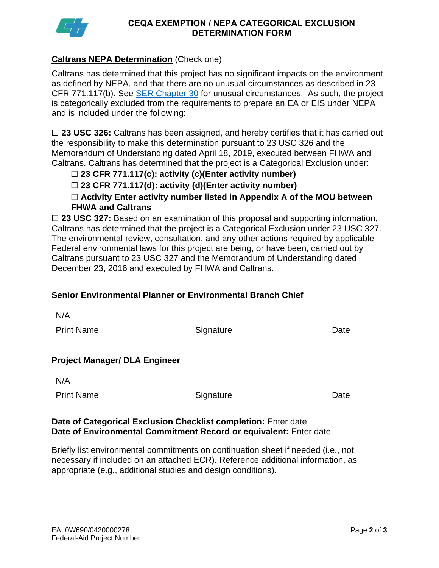

#### **CEQA EXEMPTION / NEPA CATEGORICAL EXCLUSION DETERMINATION FORM**

### **Caltrans NEPA Determination** (Check one)

Caltrans has determined that this project has no significant impacts on the environment as defined by NEPA, and that there are no unusual circumstances as described in 23 CFR 771.117(b). See [SER Chapter 30](https://dot.ca.gov/programs/environmental-analysis/standard-environmental-reference-ser/volume-1-guidance-for-compliance/ch-30-categorical-exclusions#exception) for unusual circumstances. As such, the project is categorically excluded from the requirements to prepare an EA or EIS under NEPA and is included under the following:

□ 23 USC 326: Caltrans has been assigned, and hereby certifies that it has carried out the responsibility to make this determination pursuant to 23 USC 326 and the Memorandum of Understanding dated April 18, 2019, executed between FHWA and Caltrans. Caltrans has determined that the project is a Categorical Exclusion under:

### ☐ **23 CFR 771.117(c): activity (c)(Enter activity number)**

### ☐ **23 CFR 771.117(d): activity (d)(Enter activity number)**

☐ **Activity Enter activity number listed in Appendix A of the MOU between FHWA and Caltrans**

□ 23 USC 327: Based on an examination of this proposal and supporting information, Caltrans has determined that the project is a Categorical Exclusion under 23 USC 327. The environmental review, consultation, and any other actions required by applicable Federal environmental laws for this project are being, or have been, carried out by Caltrans pursuant to 23 USC 327 and the Memorandum of Understanding dated December 23, 2016 and executed by FHWA and Caltrans.

### **Senior Environmental Planner or Environmental Branch Chief**

Print Name **Signature Date** 

### **Project Manager/ DLA Engineer**

N/A

Print Name **Signature Date CONS** 

#### **Date of Categorical Exclusion Checklist completion:** Enter date **Date of Environmental Commitment Record or equivalent:** Enter date

Briefly list environmental commitments on continuation sheet if needed (i.e., not necessary if included on an attached ECR). Reference additional information, as appropriate (e.g., additional studies and design conditions).